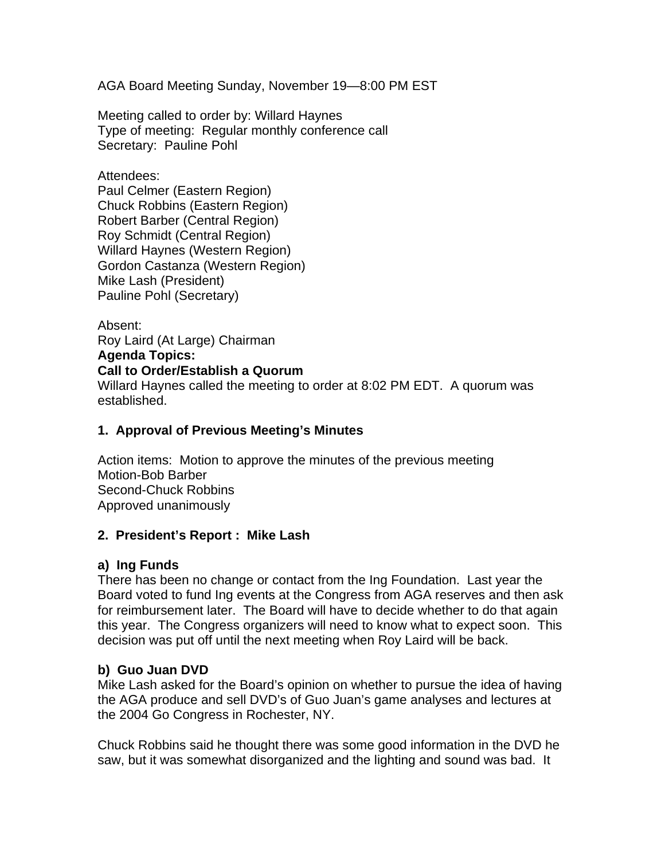AGA Board Meeting Sunday, November 19—8:00 PM EST

Meeting called to order by: Willard Haynes Type of meeting: Regular monthly conference call Secretary: Pauline Pohl

Attendees:

Paul Celmer (Eastern Region) Chuck Robbins (Eastern Region) Robert Barber (Central Region) Roy Schmidt (Central Region) Willard Haynes (Western Region) Gordon Castanza (Western Region) Mike Lash (President) Pauline Pohl (Secretary)

Absent: Roy Laird (At Large) Chairman

**Agenda Topics:**

#### **Call to Order/Establish a Quorum**

Willard Haynes called the meeting to order at 8:02 PM EDT. A quorum was established.

### **1. Approval of Previous Meeting's Minutes**

Action items: Motion to approve the minutes of the previous meeting Motion-Bob Barber Second-Chuck Robbins Approved unanimously

### **2. President's Report : Mike Lash**

### **a) Ing Funds**

There has been no change or contact from the Ing Foundation. Last year the Board voted to fund Ing events at the Congress from AGA reserves and then ask for reimbursement later. The Board will have to decide whether to do that again this year. The Congress organizers will need to know what to expect soon. This decision was put off until the next meeting when Roy Laird will be back.

### **b) Guo Juan DVD**

Mike Lash asked for the Board's opinion on whether to pursue the idea of having the AGA produce and sell DVD's of Guo Juan's game analyses and lectures at the 2004 Go Congress in Rochester, NY.

Chuck Robbins said he thought there was some good information in the DVD he saw, but it was somewhat disorganized and the lighting and sound was bad. It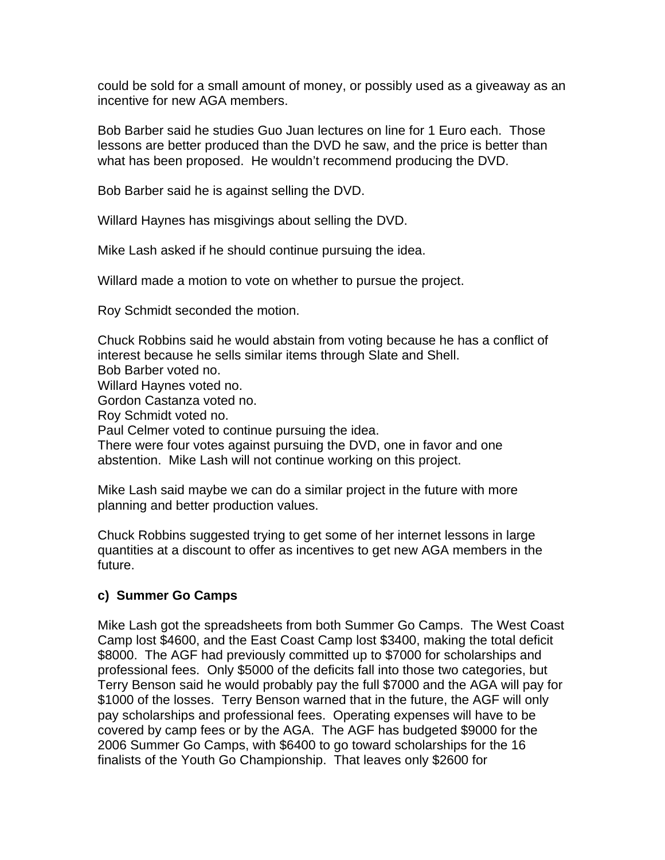could be sold for a small amount of money, or possibly used as a giveaway as an incentive for new AGA members.

Bob Barber said he studies Guo Juan lectures on line for 1 Euro each. Those lessons are better produced than the DVD he saw, and the price is better than what has been proposed. He wouldn't recommend producing the DVD.

Bob Barber said he is against selling the DVD.

Willard Haynes has misgivings about selling the DVD.

Mike Lash asked if he should continue pursuing the idea.

Willard made a motion to vote on whether to pursue the project.

Roy Schmidt seconded the motion.

Chuck Robbins said he would abstain from voting because he has a conflict of interest because he sells similar items through Slate and Shell. Bob Barber voted no. Willard Haynes voted no. Gordon Castanza voted no. Roy Schmidt voted no. Paul Celmer voted to continue pursuing the idea. There were four votes against pursuing the DVD, one in favor and one abstention. Mike Lash will not continue working on this project.

Mike Lash said maybe we can do a similar project in the future with more planning and better production values.

Chuck Robbins suggested trying to get some of her internet lessons in large quantities at a discount to offer as incentives to get new AGA members in the future.

### **c) Summer Go Camps**

Mike Lash got the spreadsheets from both Summer Go Camps. The West Coast Camp lost \$4600, and the East Coast Camp lost \$3400, making the total deficit \$8000. The AGF had previously committed up to \$7000 for scholarships and professional fees. Only \$5000 of the deficits fall into those two categories, but Terry Benson said he would probably pay the full \$7000 and the AGA will pay for \$1000 of the losses. Terry Benson warned that in the future, the AGF will only pay scholarships and professional fees. Operating expenses will have to be covered by camp fees or by the AGA. The AGF has budgeted \$9000 for the 2006 Summer Go Camps, with \$6400 to go toward scholarships for the 16 finalists of the Youth Go Championship. That leaves only \$2600 for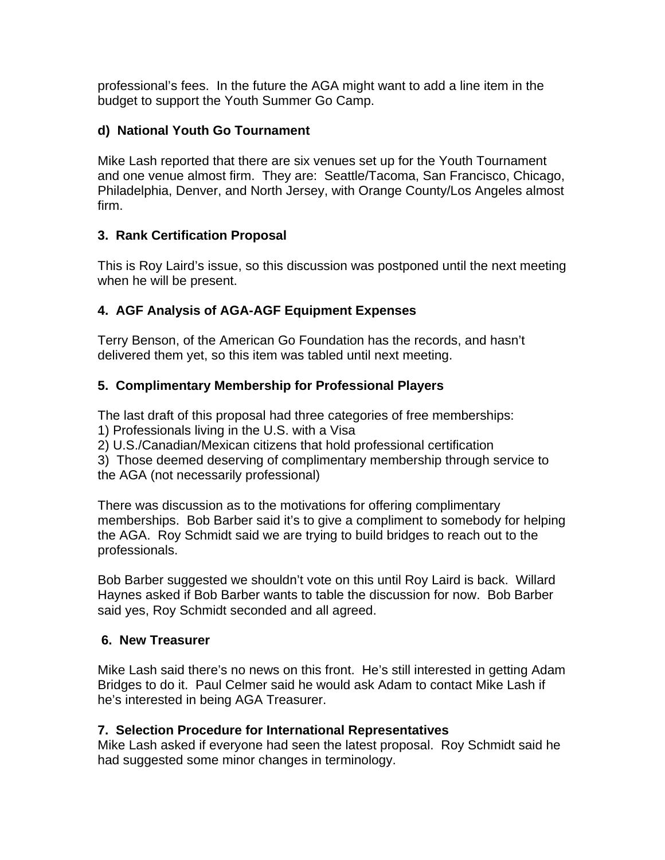professional's fees. In the future the AGA might want to add a line item in the budget to support the Youth Summer Go Camp.

### **d) National Youth Go Tournament**

Mike Lash reported that there are six venues set up for the Youth Tournament and one venue almost firm. They are: Seattle/Tacoma, San Francisco, Chicago, Philadelphia, Denver, and North Jersey, with Orange County/Los Angeles almost firm.

# **3. Rank Certification Proposal**

This is Roy Laird's issue, so this discussion was postponed until the next meeting when he will be present.

# **4. AGF Analysis of AGA-AGF Equipment Expenses**

Terry Benson, of the American Go Foundation has the records, and hasn't delivered them yet, so this item was tabled until next meeting.

# **5. Complimentary Membership for Professional Players**

The last draft of this proposal had three categories of free memberships:

1) Professionals living in the U.S. with a Visa

2) U.S./Canadian/Mexican citizens that hold professional certification

3) Those deemed deserving of complimentary membership through service to the AGA (not necessarily professional)

There was discussion as to the motivations for offering complimentary memberships. Bob Barber said it's to give a compliment to somebody for helping the AGA. Roy Schmidt said we are trying to build bridges to reach out to the professionals.

Bob Barber suggested we shouldn't vote on this until Roy Laird is back. Willard Haynes asked if Bob Barber wants to table the discussion for now. Bob Barber said yes, Roy Schmidt seconded and all agreed.

# **6. New Treasurer**

Mike Lash said there's no news on this front. He's still interested in getting Adam Bridges to do it. Paul Celmer said he would ask Adam to contact Mike Lash if he's interested in being AGA Treasurer.

# **7. Selection Procedure for International Representatives**

Mike Lash asked if everyone had seen the latest proposal. Roy Schmidt said he had suggested some minor changes in terminology.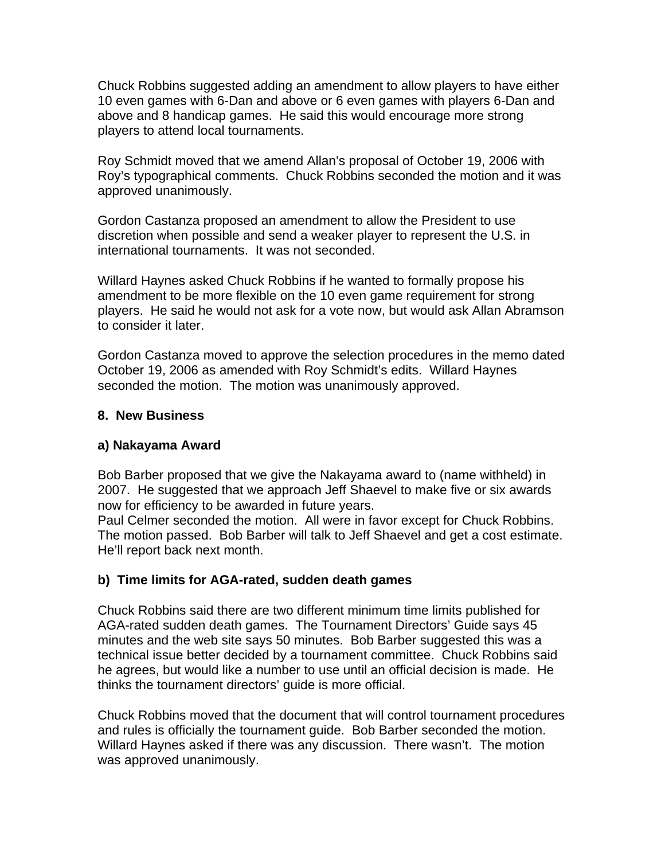Chuck Robbins suggested adding an amendment to allow players to have either 10 even games with 6-Dan and above or 6 even games with players 6-Dan and above and 8 handicap games. He said this would encourage more strong players to attend local tournaments.

Roy Schmidt moved that we amend Allan's proposal of October 19, 2006 with Roy's typographical comments. Chuck Robbins seconded the motion and it was approved unanimously.

Gordon Castanza proposed an amendment to allow the President to use discretion when possible and send a weaker player to represent the U.S. in international tournaments. It was not seconded.

Willard Haynes asked Chuck Robbins if he wanted to formally propose his amendment to be more flexible on the 10 even game requirement for strong players. He said he would not ask for a vote now, but would ask Allan Abramson to consider it later.

Gordon Castanza moved to approve the selection procedures in the memo dated October 19, 2006 as amended with Roy Schmidt's edits. Willard Haynes seconded the motion. The motion was unanimously approved.

### **8. New Business**

### **a) Nakayama Award**

Bob Barber proposed that we give the Nakayama award to (name withheld) in 2007. He suggested that we approach Jeff Shaevel to make five or six awards now for efficiency to be awarded in future years.

Paul Celmer seconded the motion. All were in favor except for Chuck Robbins. The motion passed. Bob Barber will talk to Jeff Shaevel and get a cost estimate. He'll report back next month.

### **b) Time limits for AGA-rated, sudden death games**

Chuck Robbins said there are two different minimum time limits published for AGA-rated sudden death games. The Tournament Directors' Guide says 45 minutes and the web site says 50 minutes. Bob Barber suggested this was a technical issue better decided by a tournament committee. Chuck Robbins said he agrees, but would like a number to use until an official decision is made. He thinks the tournament directors' guide is more official.

Chuck Robbins moved that the document that will control tournament procedures and rules is officially the tournament guide. Bob Barber seconded the motion. Willard Haynes asked if there was any discussion. There wasn't. The motion was approved unanimously.